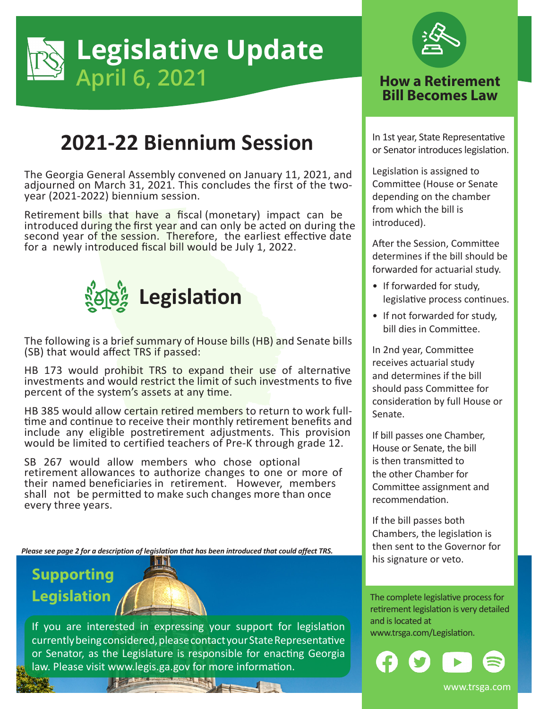

## **2021-22 Biennium Session**

The Georgia General Assembly convened on January 11, 2021, and adjourned on March 31, 2021. This concludes the first of the twoyear (2021-2022) biennium session.

Retirement bills that have a fiscal (monetary) impact can be introduced during the first year and can only be acted on during the second year of the session. Therefore, the earliest effective date for a newly introduced fiscal bill would be July 1, 2022.



The following is a brief summary of House bills (HB) and Senate bills (SB) that would affect TRS if passed:

HB 173 would prohibit TRS to expand their use of alternative investments and would restrict the limit of such investments to five percent of the system's assets at any time.

HB 385 would allow certain retired members to return to work fulltime and continue to receive their monthly retirement benefits and include any eligible postretirement adjustments. This provision would be limited to certified teachers of Pre-K through grade 12.

SB 267 would allow members who chose optional retirement allowances to authorize changes to one or more of their named beneficiaries in retirement. However, members shall not be permitted to make such changes more than once every three years.

*Please see page 2 for a description of legislation that has been introduced that could affect TRS.*

## **Supporting Legislation**



If you are interested in expressing your support for legislation www.trsga.com/Legislation. currently being considered, please contact your State Representative or Senator, as the Legislature is responsible for enacting Georgia law. Please visit www.legis.ga.gov for more information.



## **Bill Becomes Law**

In 1st year, State Representative or Senator introduces legislation.

Legislation is assigned to Committee (House or Senate depending on the chamber from which the bill is introduced).

After the Session, Committee determines if the bill should be forwarded for actuarial study.

- If forwarded for study, legislative process continues.
- If not forwarded for study, bill dies in Committee.

In 2nd year, Committee receives actuarial study and determines if the bill should pass Committee for consideration by full House or Senate.

If bill passes one Chamber, House or Senate, the bill is then transmitted to the other Chamber for Committee assignment and recommendation.

If the bill passes both Chambers, the legislation is then sent to the Governor for his signature or veto.

The complete legislative process for retirement legislation is very detailed and is located at